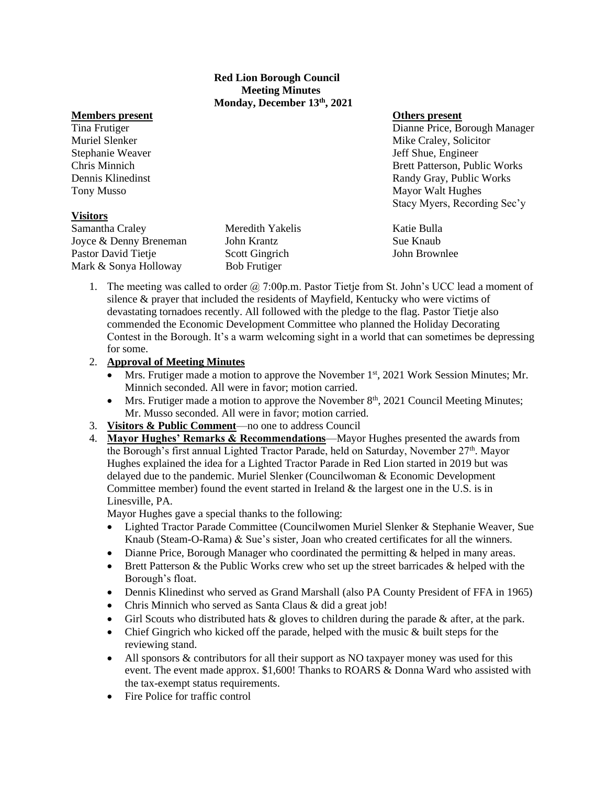## **Red Lion Borough Council Meeting Minutes Monday, December 13th, 2021**

## **Members present Others present**

## **Visitors**

Samantha Craley **Meredith Yakelis** Katie Bulla Joyce & Denny Breneman John Krantz Sue Knaub Pastor David Tietje Scott Gingrich John Brownlee Mark & Sonya Holloway Bob Frutiger

Tina Frutiger Dianne Price, Borough Manager Muriel Slenker Mike Craley, Solicitor Mike Craley, Solicitor Stephanie Weaver **Stephanie Weaver Jeff Shue, Engineer** Chris Minnich Brett Patterson, Public Works Dennis Klinedinst **Randy Gray, Public Works** Randy Gray, Public Works Tony Musso Mayor Walt Hughes Stacy Myers, Recording Sec'y

1. The meeting was called to order @ 7:00p.m. Pastor Tietje from St. John's UCC lead a moment of silence  $\&$  prayer that included the residents of Mayfield, Kentucky who were victims of devastating tornadoes recently. All followed with the pledge to the flag. Pastor Tietje also commended the Economic Development Committee who planned the Holiday Decorating Contest in the Borough. It's a warm welcoming sight in a world that can sometimes be depressing for some.

## 2. **Approval of Meeting Minutes**

- Mrs. Frutiger made a motion to approve the November  $1<sup>st</sup>$ , 2021 Work Session Minutes; Mr. Minnich seconded. All were in favor; motion carried.
- Mrs. Frutiger made a motion to approve the November 8<sup>th</sup>, 2021 Council Meeting Minutes; Mr. Musso seconded. All were in favor; motion carried.
- 3. **Visitors & Public Comment**—no one to address Council
- 4. **Mayor Hughes' Remarks & Recommendations**—Mayor Hughes presented the awards from the Borough's first annual Lighted Tractor Parade, held on Saturday, November 27<sup>th</sup>. Mayor Hughes explained the idea for a Lighted Tractor Parade in Red Lion started in 2019 but was delayed due to the pandemic. Muriel Slenker (Councilwoman & Economic Development Committee member) found the event started in Ireland  $\&$  the largest one in the U.S. is in Linesville, PA.

Mayor Hughes gave a special thanks to the following:

- Lighted Tractor Parade Committee (Councilwomen Muriel Slenker & Stephanie Weaver, Sue Knaub (Steam-O-Rama) & Sue's sister, Joan who created certificates for all the winners.
- Dianne Price, Borough Manager who coordinated the permitting & helped in many areas.
- Brett Patterson & the Public Works crew who set up the street barricades & helped with the Borough's float.
- Dennis Klinedinst who served as Grand Marshall (also PA County President of FFA in 1965)
- Chris Minnich who served as Santa Claus & did a great job!
- Girl Scouts who distributed hats  $\&$  gloves to children during the parade  $\&$  after, at the park.
- Chief Gingrich who kicked off the parade, helped with the music & built steps for the reviewing stand.
- All sponsors & contributors for all their support as NO taxpayer money was used for this event. The event made approx. \$1,600! Thanks to ROARS & Donna Ward who assisted with the tax-exempt status requirements.
- Fire Police for traffic control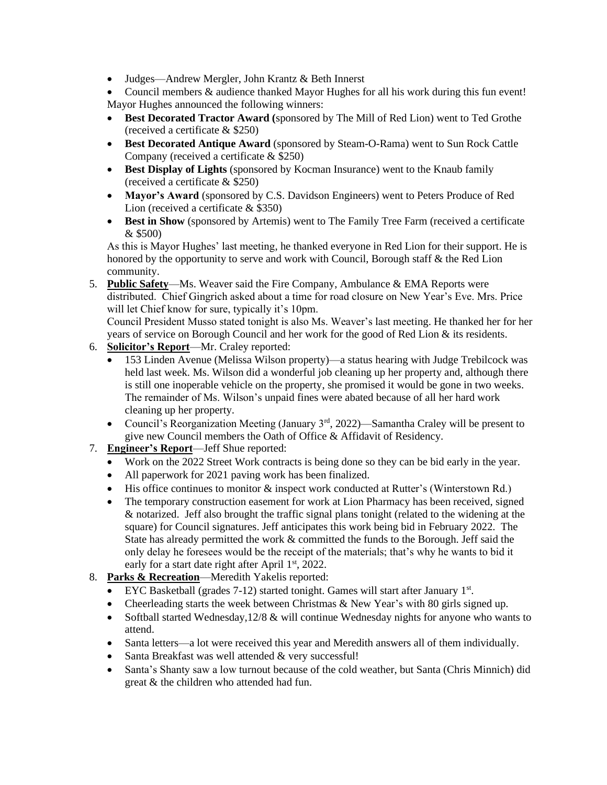• Judges—Andrew Mergler, John Krantz & Beth Innerst

• Council members & audience thanked Mayor Hughes for all his work during this fun event! Mayor Hughes announced the following winners:

- **Best Decorated Tractor Award (**sponsored by The Mill of Red Lion) went to Ted Grothe (received a certificate & \$250)
- **Best Decorated Antique Award** (sponsored by Steam-O-Rama) went to Sun Rock Cattle Company (received a certificate & \$250)
- **Best Display of Lights** (sponsored by Kocman Insurance) went to the Knaub family (received a certificate & \$250)
- **Mayor's Award** (sponsored by C.S. Davidson Engineers) went to Peters Produce of Red Lion (received a certificate & \$350)
- **Best in Show** (sponsored by Artemis) went to The Family Tree Farm (received a certificate & \$500)

As this is Mayor Hughes' last meeting, he thanked everyone in Red Lion for their support. He is honored by the opportunity to serve and work with Council, Borough staff & the Red Lion community.

5. **Public Safety**—Ms. Weaver said the Fire Company, Ambulance & EMA Reports were distributed. Chief Gingrich asked about a time for road closure on New Year's Eve. Mrs. Price will let Chief know for sure, typically it's 10pm.

Council President Musso stated tonight is also Ms. Weaver's last meeting. He thanked her for her years of service on Borough Council and her work for the good of Red Lion & its residents.

- 6. **Solicitor's Report**—Mr. Craley reported:
	- 153 Linden Avenue (Melissa Wilson property)—a status hearing with Judge Trebilcock was held last week. Ms. Wilson did a wonderful job cleaning up her property and, although there is still one inoperable vehicle on the property, she promised it would be gone in two weeks. The remainder of Ms. Wilson's unpaid fines were abated because of all her hard work cleaning up her property.
	- Council's Reorganization Meeting (January  $3<sup>rd</sup>$ , 2022)—Samantha Craley will be present to give new Council members the Oath of Office & Affidavit of Residency.
- 7. **Engineer's Report**—Jeff Shue reported:
	- Work on the 2022 Street Work contracts is being done so they can be bid early in the year.
	- All paperwork for 2021 paving work has been finalized.
	- His office continues to monitor  $\&$  inspect work conducted at Rutter's (Winterstown Rd.)
	- The temporary construction easement for work at Lion Pharmacy has been received, signed & notarized. Jeff also brought the traffic signal plans tonight (related to the widening at the square) for Council signatures. Jeff anticipates this work being bid in February 2022. The State has already permitted the work & committed the funds to the Borough. Jeff said the only delay he foresees would be the receipt of the materials; that's why he wants to bid it early for a start date right after April  $1<sup>st</sup>$ , 2022.
- 8. **Parks & Recreation**—Meredith Yakelis reported:
	- EYC Basketball (grades 7-12) started tonight. Games will start after January 1st.
	- Cheerleading starts the week between Christmas & New Year's with 80 girls signed up.
	- Softball started Wednesday, 12/8 & will continue Wednesday nights for anyone who wants to attend.
	- Santa letters—a lot were received this year and Meredith answers all of them individually.
	- Santa Breakfast was well attended & very successful!
	- Santa's Shanty saw a low turnout because of the cold weather, but Santa (Chris Minnich) did great & the children who attended had fun.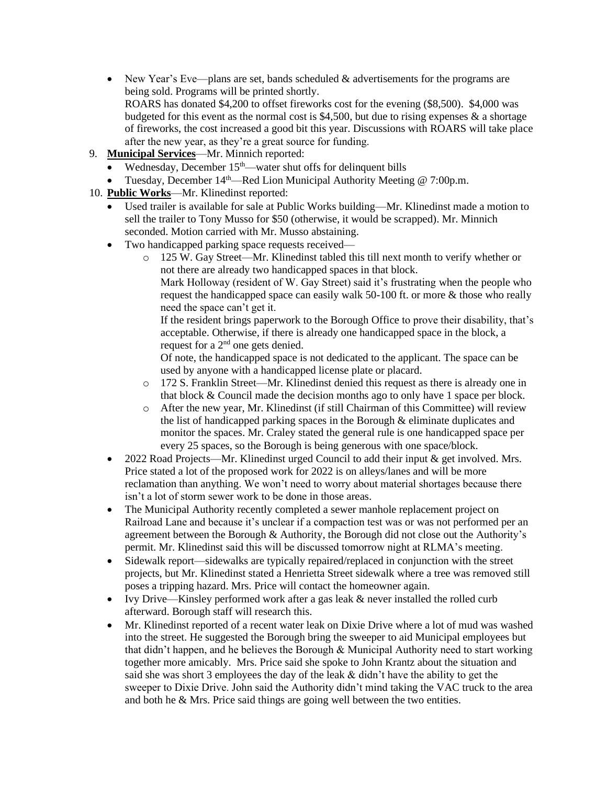- New Year's Eve—plans are set, bands scheduled  $&$  advertisements for the programs are being sold. Programs will be printed shortly. ROARS has donated \$4,200 to offset fireworks cost for the evening (\$8,500). \$4,000 was budgeted for this event as the normal cost is \$4,500, but due to rising expenses  $\&$  a shortage of fireworks, the cost increased a good bit this year. Discussions with ROARS will take place after the new year, as they're a great source for funding.
- 9. **Municipal Services**—Mr. Minnich reported:
	- Wednesday, December  $15<sup>th</sup>$ —water shut offs for delinquent bills
	- Tuesday, December  $14<sup>th</sup>$ —Red Lion Municipal Authority Meeting @ 7:00p.m.
- 10. **Public Works**—Mr. Klinedinst reported:
	- Used trailer is available for sale at Public Works building—Mr. Klinedinst made a motion to sell the trailer to Tony Musso for \$50 (otherwise, it would be scrapped). Mr. Minnich seconded. Motion carried with Mr. Musso abstaining.
	- Two handicapped parking space requests received
		- o 125 W. Gay Street—Mr. Klinedinst tabled this till next month to verify whether or not there are already two handicapped spaces in that block.
			- Mark Holloway (resident of W. Gay Street) said it's frustrating when the people who request the handicapped space can easily walk 50-100 ft. or more & those who really need the space can't get it.

If the resident brings paperwork to the Borough Office to prove their disability, that's acceptable. Otherwise, if there is already one handicapped space in the block, a request for a 2<sup>nd</sup> one gets denied.

Of note, the handicapped space is not dedicated to the applicant. The space can be used by anyone with a handicapped license plate or placard.

- o 172 S. Franklin Street—Mr. Klinedinst denied this request as there is already one in that block & Council made the decision months ago to only have 1 space per block.
- o After the new year, Mr. Klinedinst (if still Chairman of this Committee) will review the list of handicapped parking spaces in the Borough & eliminate duplicates and monitor the spaces. Mr. Craley stated the general rule is one handicapped space per every 25 spaces, so the Borough is being generous with one space/block.
- 2022 Road Projects—Mr. Klinedinst urged Council to add their input & get involved. Mrs. Price stated a lot of the proposed work for 2022 is on alleys/lanes and will be more reclamation than anything. We won't need to worry about material shortages because there isn't a lot of storm sewer work to be done in those areas.
- The Municipal Authority recently completed a sewer manhole replacement project on Railroad Lane and because it's unclear if a compaction test was or was not performed per an agreement between the Borough & Authority, the Borough did not close out the Authority's permit. Mr. Klinedinst said this will be discussed tomorrow night at RLMA's meeting.
- Sidewalk report—sidewalks are typically repaired/replaced in conjunction with the street projects, but Mr. Klinedinst stated a Henrietta Street sidewalk where a tree was removed still poses a tripping hazard. Mrs. Price will contact the homeowner again.
- Ivy Drive—Kinsley performed work after a gas leak & never installed the rolled curb afterward. Borough staff will research this.
- Mr. Klinedinst reported of a recent water leak on Dixie Drive where a lot of mud was washed into the street. He suggested the Borough bring the sweeper to aid Municipal employees but that didn't happen, and he believes the Borough & Municipal Authority need to start working together more amicably. Mrs. Price said she spoke to John Krantz about the situation and said she was short 3 employees the day of the leak  $&$  didn't have the ability to get the sweeper to Dixie Drive. John said the Authority didn't mind taking the VAC truck to the area and both he & Mrs. Price said things are going well between the two entities.